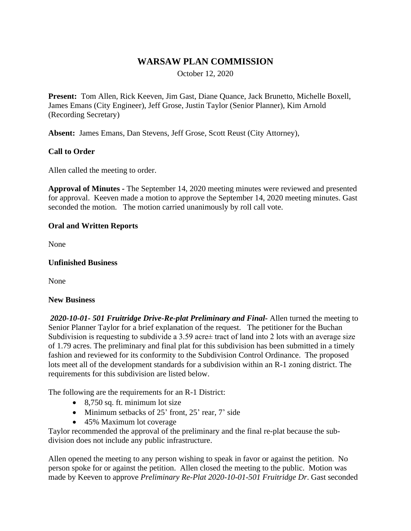## **WARSAW PLAN COMMISSION**

October 12, 2020

**Present:** Tom Allen, Rick Keeven, Jim Gast, Diane Quance, Jack Brunetto, Michelle Boxell, James Emans (City Engineer), Jeff Grose, Justin Taylor (Senior Planner), Kim Arnold (Recording Secretary)

**Absent:** James Emans, Dan Stevens, Jeff Grose, Scott Reust (City Attorney),

### **Call to Order**

Allen called the meeting to order.

**Approval of Minutes -** The September 14, 2020 meeting minutes were reviewed and presented for approval. Keeven made a motion to approve the September 14, 2020 meeting minutes. Gast seconded the motion. The motion carried unanimously by roll call vote.

#### **Oral and Written Reports**

None

#### **Unfinished Business**

None

#### **New Business**

*2020-10-01- 501 Fruitridge Drive-Re-plat Preliminary and Final-* Allen turned the meeting to Senior Planner Taylor for a brief explanation of the request. The petitioner for the Buchan Subdivision is requesting to subdivide a 3.59 acre± tract of land into 2 lots with an average size of 1.79 acres. The preliminary and final plat for this subdivision has been submitted in a timely fashion and reviewed for its conformity to the Subdivision Control Ordinance. The proposed lots meet all of the development standards for a subdivision within an R-1 zoning district. The requirements for this subdivision are listed below.

The following are the requirements for an R-1 District:

- $\bullet$  8,750 sq. ft. minimum lot size
- Minimum setbacks of 25' front, 25' rear, 7' side
- 45% Maximum lot coverage

Taylor recommended the approval of the preliminary and the final re-plat because the subdivision does not include any public infrastructure.

Allen opened the meeting to any person wishing to speak in favor or against the petition. No person spoke for or against the petition. Allen closed the meeting to the public. Motion was made by Keeven to approve *Preliminary Re-Plat 2020-10-01-501 Fruitridge Dr*. Gast seconded